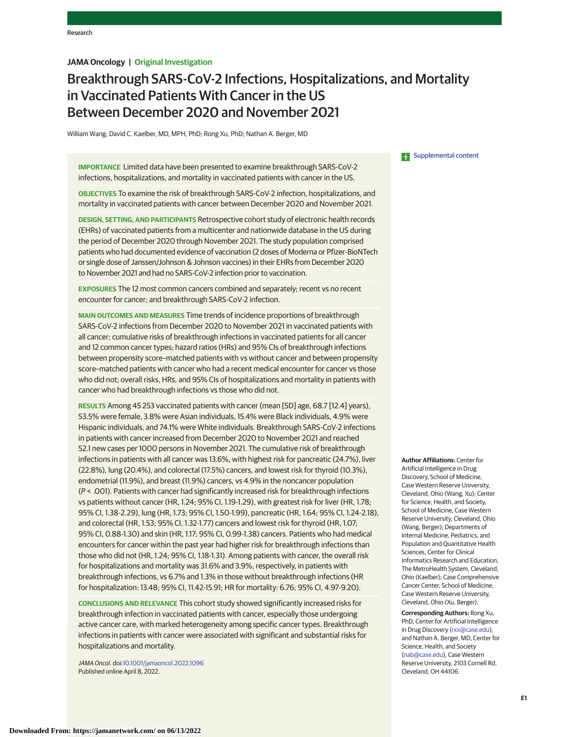# **JAMA Oncology | Original Investigation**

# Breakthrough SARS-CoV-2 Infections, Hospitalizations, and Mortality in Vaccinated Patients With Cancer in the US Between December 2020 and November 2021

William Wang; David C. Kaelber, MD, MPH, PhD; Rong Xu, PhD; Nathan A. Berger, MD

**IMPORTANCE** Limited data have been presented to examine breakthrough SARS-CoV-2 infections, hospitalizations, and mortality in vaccinated patients with cancer in the US.

**OBJECTIVES** To examine the risk of breakthrough SARS-CoV-2 infection, hospitalizations, and mortality in vaccinated patients with cancer between December 2020 and November 2021.

**DESIGN, SETTING, AND PARTICIPANTS** Retrospective cohort study of electronic health records (EHRs) of vaccinated patients from a multicenter and nationwide database in the US during the period of December 2020 through November 2021. The study population comprised patients who had documented evidence of vaccination (2 doses of Moderna or Pfizer-BioNTech or single dose of Janssen/Johnson & Johnson vaccines) in their EHRs from December 2020 to November 2021 and had no SARS-CoV-2 infection prior to vaccination.

**EXPOSURES** The 12 most common cancers combined and separately; recent vs no recent encounter for cancer; and breakthrough SARS-CoV-2 infection.

**MAIN OUTCOMES AND MEASURES** Time trends of incidence proportions of breakthrough SARS-CoV-2 infections from December 2020 to November 2021 in vaccinated patients with all cancer; cumulative risks of breakthrough infections in vaccinated patients for all cancer and 12 common cancer types; hazard ratios (HRs) and 95% CIs of breakthrough infections between propensity score–matched patients with vs without cancer and between propensity score–matched patients with cancer who had a recent medical encounter for cancer vs those who did not; overall risks, HRs, and 95% CIs of hospitalizations and mortality in patients with cancer who had breakthrough infections vs those who did not.

**RESULTS** Among 45 253 vaccinated patients with cancer (mean [SD] age, 68.7 [12.4] years), 53.5% were female, 3.8% were Asian individuals, 15.4% were Black individuals, 4.9% were Hispanic individuals, and 74.1% were White individuals. Breakthrough SARS-CoV-2 infections in patients with cancer increased from December 2020 to November 2021 and reached 52.1 new cases per 1000 persons in November 2021. The cumulative risk of breakthrough infections in patients with all cancer was 13.6%, with highest risk for pancreatic (24.7%), liver (22.8%), lung (20.4%), and colorectal (17.5%) cancers, and lowest risk for thyroid (10.3%), endometrial (11.9%), and breast (11.9%) cancers, vs 4.9% in the noncancer population (P < .001). Patients with cancer had significantly increased risk for breakthrough infections vs patients without cancer (HR, 1.24; 95% CI, 1.19-1.29), with greatest risk for liver (HR, 1.78; 95% CI, 1.38-2.29), lung (HR, 1.73; 95% CI, 1.50-1.99), pancreatic (HR, 1.64; 95% CI, 1.24-2.18), and colorectal (HR, 1.53; 95% CI, 1.32-1.77) cancers and lowest risk for thyroid (HR, 1.07; 95% CI, 0.88-1.30) and skin (HR, 1.17; 95% CI, 0.99-1.38) cancers. Patients who had medical encounters for cancer within the past year had higher risk for breakthrough infections than those who did not (HR, 1.24; 95% CI, 1.18-1.31). Among patients with cancer, the overall risk for hospitalizations and mortality was 31.6% and 3.9%, respectively, in patients with breakthrough infections, vs 6.7% and 1.3% in those without breakthrough infections (HR for hospitalization: 13.48; 95% CI, 11.42-15.91; HR for mortality: 6.76; 95% CI, 4.97-9.20).

**CONCLUSIONS AND RELEVANCE** This cohort study showed significantly increased risks for breakthrough infection in vaccinated patients with cancer, especially those undergoing active cancer care, with marked heterogeneity among specific cancer types. Breakthrough infections in patients with cancer were associated with significant and substantial risks for hospitalizations and mortality.

JAMA Oncol. doi[:10.1001/jamaoncol.2022.1096](https://jamanetwork.com/journals/jama/fullarticle/10.1001/jamaoncol.2022.1096?utm_campaign=articlePDF%26utm_medium=articlePDFlink%26utm_source=articlePDF%26utm_content=jamaoncol.2022.1096) Published online April 8, 2022.

### **Examplemental content**

**Author Affiliations:** Center for Artificial Intelligence in Drug Discovery, School of Medicine, Case Western Reserve University, Cleveland, Ohio (Wang, Xu); Center for Science, Health, and Society, School of Medicine, Case Western Reserve University, Cleveland, Ohio (Wang, Berger); Departments of Internal Medicine, Pediatrics, and Population and Quantitative Health Sciences, Center for Clinical Informatics Research and Education, The MetroHealth System, Cleveland, Ohio (Kaelber); Case Comprehensive Cancer Center, School of Medicine, Case Western Reserve University, Cleveland, Ohio (Xu, Berger).

**Corresponding Authors:** Rong Xu, PhD, Center for Artificial Intelligence in Drug Discovery [\(rxx@case.edu\)](mailto:rxx@case.edu), and Nathan A. Berger, MD, Center for Science, Health, and Society [\(nab@case.edu\)](mailto:nab@case.edu), Case Western Reserve University, 2103 Cornell Rd, Cleveland, OH 44106.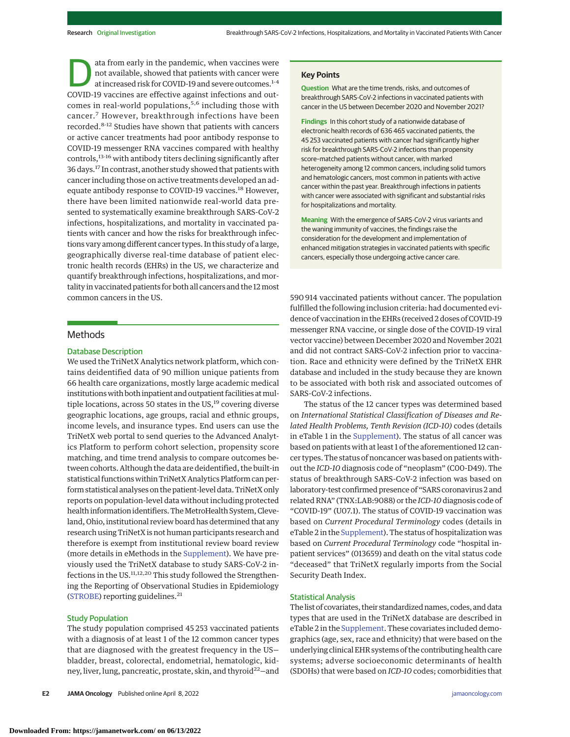ata from early in the pandemic, when vaccines were not available, showed that patients with cancer were at increased risk for COVID-19 and severe outcomes.1-4 COVID-19 vaccines are effective against infections and outcomes in real-world populations,<sup>5,6</sup> including those with cancer.<sup>7</sup> However, breakthrough infections have been recorded.8-12 Studies have shown that patients with cancers or active cancer treatments had poor antibody response to COVID-19 messenger RNA vaccines compared with healthy controls,13-16 with antibody titers declining significantly after 36 days.17 In contrast, another study showed that patients with cancer including those on active treatments developed an adequate antibody response to COVID-19 vaccines.<sup>18</sup> However, there have been limited nationwide real-world data presented to systematically examine breakthrough SARS-CoV-2 infections, hospitalizations, and mortality in vaccinated patients with cancer and how the risks for breakthrough infections vary among different cancer types. In this study of a large, geographically diverse real-time database of patient electronic health records (EHRs) in the US, we characterize and quantify breakthrough infections, hospitalizations, and mortality in vaccinated patients for both all cancers and the 12 most common cancers in the US.

### Methods

### Database Description

We used the TriNetX Analytics network platform, which contains deidentified data of 90 million unique patients from 66 health care organizations, mostly large academic medical institutions with both inpatient and outpatient facilities at multiple locations, across 50 states in the  $US<sub>19</sub>$  covering diverse geographic locations, age groups, racial and ethnic groups, income levels, and insurance types. End users can use the TriNetX web portal to send queries to the Advanced Analytics Platform to perform cohort selection, propensity score matching, and time trend analysis to compare outcomes between cohorts. Although the data are deidentified, the built-in statistical functions within TriNetX Analytics Platform can perform statistical analyses on the patient-level data. TriNetX only reports on population-level data without including protected health information identifiers. The MetroHealth System, Cleveland, Ohio, institutional review board has determined that any research using TriNetX is not human participants research and therefore is exempt from institutional review board review (more details in eMethods in the [Supplement\)](https://jamanetwork.com/journals/jama/fullarticle/10.1001/jamaoncol.2022.1096?utm_campaign=articlePDF%26utm_medium=articlePDFlink%26utm_source=articlePDF%26utm_content=jamaoncol.2022.1096). We have previously used the TriNetX database to study SARS-CoV-2 infections in the US.11,12,20 This study followed the Strengthening the Reporting of Observational Studies in Epidemiology [\(STROBE\)](http://www.equator-network.org/reporting-guidelines/strobe/) reporting guidelines. $21$ 

### Study Population

The study population comprised 45 253 vaccinated patients with a diagnosis of at least 1 of the 12 common cancer types that are diagnosed with the greatest frequency in the US bladder, breast, colorectal, endometrial, hematologic, kidney, liver, lung, pancreatic, prostate, skin, and thyroid<sup>22</sup>-and

**E2 JAMA Oncology** Published online April 8, 2022 **(Reprinting)** is a strategy of the printed online April 8, 2022 **(Reprinting)** is a strategy of the printed online April 8, 2022 **(Reprinting)** is a strategy of the prin

### **Key Points**

**Question** What are the time trends, risks, and outcomes of breakthrough SARS-CoV-2 infections in vaccinated patients with cancer in the US between December 2020 and November 2021?

**Findings** In this cohort study of a nationwide database of electronic health records of 636 465 vaccinated patients, the 45 253 vaccinated patients with cancer had significantly higher risk for breakthrough SARS-CoV-2 infections than propensity score–matched patients without cancer, with marked heterogeneity among 12 common cancers, including solid tumors and hematologic cancers, most common in patients with active cancer within the past year. Breakthrough infections in patients with cancer were associated with significant and substantial risks for hospitalizations and mortality.

**Meaning** With the emergence of SARS-CoV-2 virus variants and the waning immunity of vaccines, the findings raise the consideration for the development and implementation of enhanced mitigation strategies in vaccinated patients with specific cancers, especially those undergoing active cancer care.

590 914 vaccinated patients without cancer. The population fulfilled the following inclusion criteria: had documented evidence of vaccination in the EHRs (received 2 doses of COVID-19 messenger RNA vaccine, or single dose of the COVID-19 viral vector vaccine) between December 2020 and November 2021 and did not contract SARS-CoV-2 infection prior to vaccination. Race and ethnicity were defined by the TriNetX EHR database and included in the study because they are known to be associated with both risk and associated outcomes of SARS-CoV-2 infections.

The status of the 12 cancer types was determined based on *International Statistical Classification of Diseases and Related Health Problems, Tenth Revision (ICD-10)* codes (details in eTable 1 in the [Supplement\)](https://jamanetwork.com/journals/jama/fullarticle/10.1001/jamaoncol.2022.1096?utm_campaign=articlePDF%26utm_medium=articlePDFlink%26utm_source=articlePDF%26utm_content=jamaoncol.2022.1096). The status of all cancer was based on patients with at least 1 of the aforementioned 12 cancer types. The status of noncancer was based on patients without the *ICD-10* diagnosis code of "neoplasm" (C00-D49). The status of breakthrough SARS-CoV-2 infection was based on laboratory-test confirmed presence of "SARS coronavirus 2 and related RNA" (TNX:LAB:9088) or the *ICD-10*diagnosis code of "COVID-19" (U07.1). The status of COVID-19 vaccination was based on *Current Procedural Terminology* codes (details in eTable 2 in the [Supplement\)](https://jamanetwork.com/journals/jama/fullarticle/10.1001/jamaoncol.2022.1096?utm_campaign=articlePDF%26utm_medium=articlePDFlink%26utm_source=articlePDF%26utm_content=jamaoncol.2022.1096). The status of hospitalization was based on *Current Procedural Terminology* code "hospital inpatient services" (013659) and death on the vital status code "deceased" that TriNetX regularly imports from the Social Security Death Index.

### Statistical Analysis

The list of covariates, their standardized names, codes, and data types that are used in the TriNetX database are described in eTable 2 in the [Supplement.](https://jamanetwork.com/journals/jama/fullarticle/10.1001/jamaoncol.2022.1096?utm_campaign=articlePDF%26utm_medium=articlePDFlink%26utm_source=articlePDF%26utm_content=jamaoncol.2022.1096) These covariates included demographics (age, sex, race and ethnicity) that were based on the underlying clinical EHR systems of the contributing health care systems; adverse socioeconomic determinants of health (SDOHs) that were based on *ICD-10* codes; comorbidities that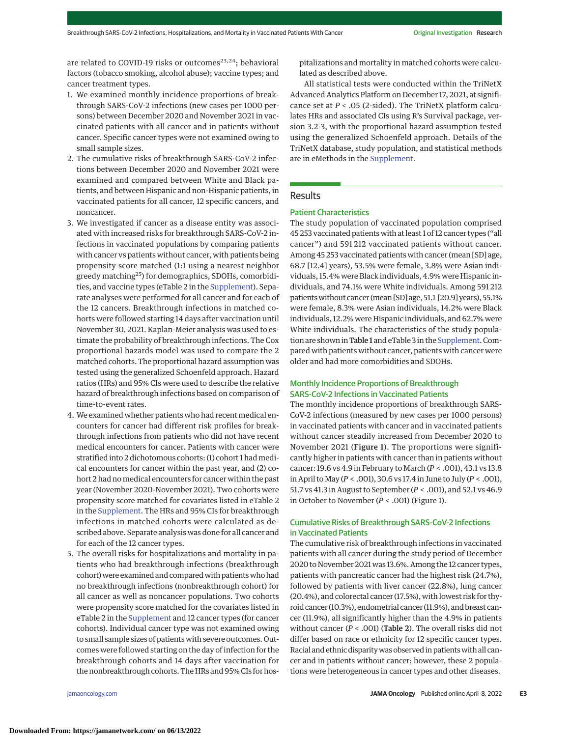are related to COVID-19 risks or outcomes<sup>23,24</sup>; behavioral factors (tobacco smoking, alcohol abuse); vaccine types; and cancer treatment types.

- 1. We examined monthly incidence proportions of breakthrough SARS-CoV-2 infections (new cases per 1000 persons) between December 2020 and November 2021 in vaccinated patients with all cancer and in patients without cancer. Specific cancer types were not examined owing to small sample sizes.
- 2. The cumulative risks of breakthrough SARS-CoV-2 infections between December 2020 and November 2021 were examined and compared between White and Black patients, and between Hispanic and non-Hispanic patients, in vaccinated patients for all cancer, 12 specific cancers, and noncancer.
- 3. We investigated if cancer as a disease entity was associated with increased risks for breakthrough SARS-CoV-2 infections in vaccinated populations by comparing patients with cancer vs patients without cancer, with patients being propensity score matched (1:1 using a nearest neighbor greedy matching25) for demographics, SDOHs, comorbidities, and vaccine types (eTable 2 in the [Supplement\)](https://jamanetwork.com/journals/jama/fullarticle/10.1001/jamaoncol.2022.1096?utm_campaign=articlePDF%26utm_medium=articlePDFlink%26utm_source=articlePDF%26utm_content=jamaoncol.2022.1096). Separate analyses were performed for all cancer and for each of the 12 cancers. Breakthrough infections in matched cohorts were followed starting 14 days after vaccination until November 30, 2021. Kaplan-Meier analysis was used to estimate the probability of breakthrough infections. The Cox proportional hazards model was used to compare the 2 matched cohorts. The proportional hazard assumption was tested using the generalized Schoenfeld approach. Hazard ratios (HRs) and 95% CIs were used to describe the relative hazard of breakthrough infections based on comparison of time-to-event rates.
- 4. We examined whether patients who had recent medical encounters for cancer had different risk profiles for breakthrough infections from patients who did not have recent medical encounters for cancer. Patients with cancer were stratified into 2 dichotomous cohorts: (1) cohort 1 had medical encounters for cancer within the past year, and (2) cohort 2 had no medical encounters for cancer within the past year (November 2020-November 2021). Two cohorts were propensity score matched for covariates listed in eTable 2 in the [Supplement.](https://jamanetwork.com/journals/jama/fullarticle/10.1001/jamaoncol.2022.1096?utm_campaign=articlePDF%26utm_medium=articlePDFlink%26utm_source=articlePDF%26utm_content=jamaoncol.2022.1096) The HRs and 95% CIs for breakthrough infections in matched cohorts were calculated as described above. Separate analysis was done for all cancer and for each of the 12 cancer types.
- 5. The overall risks for hospitalizations and mortality in patients who had breakthrough infections (breakthrough cohort) were examined and compared with patients who had no breakthrough infections (nonbreakthrough cohort) for all cancer as well as noncancer populations. Two cohorts were propensity score matched for the covariates listed in eTable 2 in the [Supplement](https://jamanetwork.com/journals/jama/fullarticle/10.1001/jamaoncol.2022.1096?utm_campaign=articlePDF%26utm_medium=articlePDFlink%26utm_source=articlePDF%26utm_content=jamaoncol.2022.1096) and 12 cancer types (for cancer cohorts). Individual cancer type was not examined owing to small sample sizes of patients with severe outcomes. Outcomes were followed starting on the day of infection for the breakthrough cohorts and 14 days after vaccination for the nonbreakthrough cohorts. The HRs and 95% CIs for hos-

pitalizations and mortality in matched cohorts were calculated as described above.

All statistical tests were conducted within the TriNetX Advanced Analytics Platform on December 17, 2021, at significance set at *P* < .05 (2-sided). The TriNetX platform calculates HRs and associated CIs using R's Survival package, version 3.2-3, with the proportional hazard assumption tested using the generalized Schoenfeld approach. Details of the TriNetX database, study population, and statistical methods are in eMethods in the [Supplement.](https://jamanetwork.com/journals/jama/fullarticle/10.1001/jamaoncol.2022.1096?utm_campaign=articlePDF%26utm_medium=articlePDFlink%26utm_source=articlePDF%26utm_content=jamaoncol.2022.1096)

### Results

### Patient Characteristics

The study population of vaccinated population comprised 45 253 vaccinated patients with at least 1 of 12 cancer types ("all cancer") and 591 212 vaccinated patients without cancer. Among 45 253 vaccinated patients with cancer (mean [SD] age, 68.7 [12.4] years), 53.5% were female, 3.8% were Asian individuals, 15.4% were Black individuals, 4.9% were Hispanic individuals, and 74.1% were White individuals. Among 591 212 patientswithout cancer (mean [SD] age, 51.1 [20.9] years), 55.1% were female, 8.3% were Asian individuals, 14.2% were Black individuals, 12.2% were Hispanic individuals, and 62.7% were White individuals. The characteristics of the study popula-tion are shown in Table 1 and eTable 3 in the [Supplement.](https://jamanetwork.com/journals/jama/fullarticle/10.1001/jamaoncol.2022.1096?utm_campaign=articlePDF%26utm_medium=articlePDFlink%26utm_source=articlePDF%26utm_content=jamaoncol.2022.1096) Compared with patients without cancer, patients with cancer were older and had more comorbidities and SDOHs.

# Monthly Incidence Proportions of Breakthrough SARS-CoV-2 Infections in Vaccinated Patients

The monthly incidence proportions of breakthrough SARS-CoV-2 infections (measured by new cases per 1000 persons) in vaccinated patients with cancer and in vaccinated patients without cancer steadily increased from December 2020 to November 2021 (Figure 1). The proportions were significantly higher in patients with cancer than in patients without cancer: 19.6 vs 4.9 in February to March (*P* < .001), 43.1 vs 13.8 in April toMay (*P* < .001), 30.6 vs 17.4 in June to July (*P* < .001), 51.7 vs 41.3 in August to September (*P* < .001), and 52.1 vs 46.9 in October to November (*P* < .001) (Figure 1).

### Cumulative Risks of Breakthrough SARS-CoV-2 Infections in Vaccinated Patients

The cumulative risk of breakthrough infections in vaccinated patients with all cancer during the study period of December 2020 to November 2021 was 13.6%. Among the 12 cancer types, patients with pancreatic cancer had the highest risk (24.7%), followed by patients with liver cancer (22.8%), lung cancer (20.4%), and colorectal cancer (17.5%), with lowest risk for thyroid cancer (10.3%), endometrial cancer (11.9%), and breast cancer (11.9%), all significantly higher than the 4.9% in patients without cancer (*P* < .001) (Table 2). The overall risks did not differ based on race or ethnicity for 12 specific cancer types. Racial and ethnic disparity was observed in patients with all cancer and in patients without cancer; however, these 2 populations were heterogeneous in cancer types and other diseases.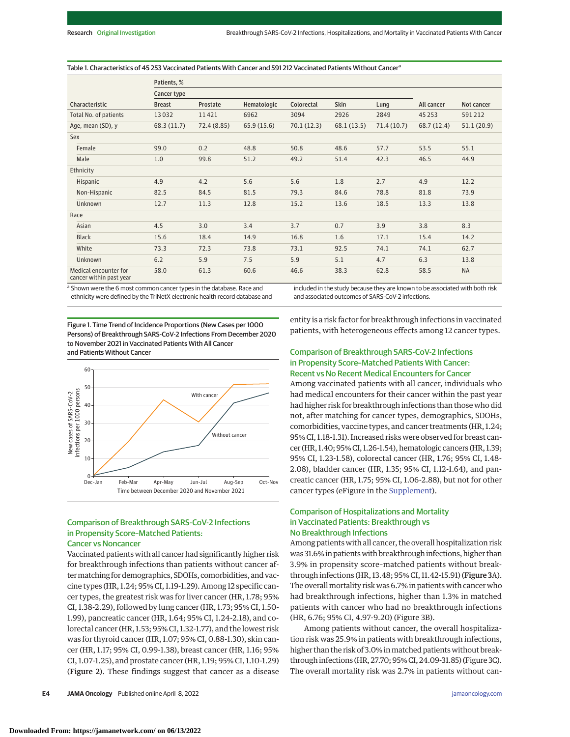#### Table 1. Characteristics of 45 253 Vaccinated Patients With Cancer and 591 212 Vaccinated Patients Without Cancer<sup>a</sup>

|                                                  | Patients, %   |             |             |            |             |            |            |            |  |
|--------------------------------------------------|---------------|-------------|-------------|------------|-------------|------------|------------|------------|--|
|                                                  | Cancer type   |             |             |            |             |            |            |            |  |
| Characteristic                                   | <b>Breast</b> | Prostate    | Hematologic | Colorectal | Skin        | Lung       | All cancer | Not cancer |  |
| Total No. of patients                            | 13032         | 11421       | 6962        | 3094       | 2926        | 2849       | 45 2 5 3   | 591212     |  |
| Age, mean (SD), y                                | 68.3(11.7)    | 72.4 (8.85) | 65.9(15.6)  | 70.1(12.3) | 68.1 (13.5) | 71.4(10.7) | 68.7(12.4) | 51.1(20.9) |  |
| Sex                                              |               |             |             |            |             |            |            |            |  |
| Female                                           | 99.0          | 0.2         | 48.8        | 50.8       | 48.6        | 57.7       | 53.5       | 55.1       |  |
| Male                                             | 1.0           | 99.8        | 51.2        | 49.2       | 51.4        | 42.3       | 46.5       | 44.9       |  |
| Ethnicity                                        |               |             |             |            |             |            |            |            |  |
| Hispanic                                         | 4.9           | 4.2         | 5.6         | 5.6        | 1.8         | 2.7        | 4.9        | 12.2       |  |
| Non-Hispanic                                     | 82.5          | 84.5        | 81.5        | 79.3       | 84.6        | 78.8       | 81.8       | 73.9       |  |
| <b>Unknown</b>                                   | 12.7          | 11.3        | 12.8        | 15.2       | 13.6        | 18.5       | 13.3       | 13.8       |  |
| Race                                             |               |             |             |            |             |            |            |            |  |
| Asian                                            | 4.5           | 3.0         | 3.4         | 3.7        | 0.7         | 3.9        | 3.8        | 8.3        |  |
| <b>Black</b>                                     | 15.6          | 18.4        | 14.9        | 16.8       | 1.6         | 17.1       | 15.4       | 14.2       |  |
| White                                            | 73.3          | 72.3        | 73.8        | 73.1       | 92.5        | 74.1       | 74.1       | 62.7       |  |
| <b>Unknown</b>                                   | 6.2           | 5.9         | 7.5         | 5.9        | 5.1         | 4.7        | 6.3        | 13.8       |  |
| Medical encounter for<br>cancer within past year | 58.0          | 61.3        | 60.6        | 46.6       | 38.3        | 62.8       | 58.5       | <b>NA</b>  |  |

a Shown were the 6 most common cancer types in the database. Race and ethnicity were defined by the TriNetX electronic health record database and included in the study because they are known to be associated with both risk and associated outcomes of SARS-CoV-2 infections.

Figure 1. Time Trend of Incidence Proportions (New Cases per 1000 Persons) of Breakthrough SARS-CoV-2 Infections From December 2020 to November 2021 in Vaccinated Patients With All Cancer and Patients Without Cancer



### Comparison of Breakthrough SARS-CoV-2 Infections in Propensity Score–Matched Patients: Cancer vs Noncancer

Vaccinated patients with all cancer had significantly higher risk for breakthrough infections than patients without cancer aftermatching for demographics, SDOHs, comorbidities, and vaccine types (HR, 1.24; 95% CI, 1.19-1.29). Among 12 specific cancer types, the greatest risk was for liver cancer (HR, 1.78; 95% CI, 1.38-2.29), followed by lung cancer (HR, 1.73; 95% CI, 1.50- 1.99), pancreatic cancer (HR, 1.64; 95% CI, 1.24-2.18), and colorectal cancer (HR, 1.53; 95% CI, 1.32-1.77), and the lowest risk was for thyroid cancer (HR, 1.07; 95% CI, 0.88-1.30), skin cancer (HR, 1.17; 95% CI, 0.99-1.38), breast cancer (HR, 1.16; 95% CI, 1.07-1.25), and prostate cancer (HR, 1.19; 95% CI, 1.10-1.29) (Figure 2). These findings suggest that cancer as a disease

**E4 JAMA Oncology** Published online April 8, 2022 **(Reprinting)** is a strategy of the strategy of the strategy of the strategy of the strategy of the strategy of the strategy of the strategy of the strategy of the strategy

entity is a risk factor for breakthrough infections in vaccinated patients, with heterogeneous effects among 12 cancer types.

## Comparison of Breakthrough SARS-CoV-2 Infections in Propensity Score–Matched Patients With Cancer: Recent vs No Recent Medical Encounters for Cancer

Among vaccinated patients with all cancer, individuals who had medical encounters for their cancer within the past year had higher risk for breakthrough infections than those who did not, after matching for cancer types, demographics, SDOHs, comorbidities, vaccine types, and cancer treatments (HR, 1.24; 95% CI, 1.18-1.31). Increased risks were observed for breast cancer (HR, 1.40; 95% CI, 1.26-1.54), hematologic cancers (HR, 1.39; 95% CI, 1.23-1.58), colorectal cancer (HR, 1.76; 95% CI, 1.48- 2.08), bladder cancer (HR, 1.35; 95% CI, 1.12-1.64), and pancreatic cancer (HR, 1.75; 95% CI, 1.06-2.88), but not for other cancer types (eFigure in the [Supplement\)](https://jamanetwork.com/journals/jama/fullarticle/10.1001/jamaoncol.2022.1096?utm_campaign=articlePDF%26utm_medium=articlePDFlink%26utm_source=articlePDF%26utm_content=jamaoncol.2022.1096).

# Comparison of Hospitalizations and Mortality in Vaccinated Patients: Breakthrough vs No Breakthrough Infections

Among patients with all cancer, the overall hospitalization risk was 31.6% in patients with breakthrough infections, higher than 3.9% in propensity score–matched patients without breakthrough infections (HR, 13.48; 95% CI, 11.42-15.91) (Figure 3A). The overall mortality risk was 6.7% in patients with cancer who had breakthrough infections, higher than 1.3% in matched patients with cancer who had no breakthrough infections (HR, 6.76; 95% CI, 4.97-9.20) (Figure 3B).

Among patients without cancer, the overall hospitalization risk was 25.9% in patients with breakthrough infections, higher than the risk of 3.0% in matched patients without breakthrough infections (HR, 27.70; 95% CI, 24.09-31.85) (Figure 3C). The overall mortality risk was 2.7% in patients without can-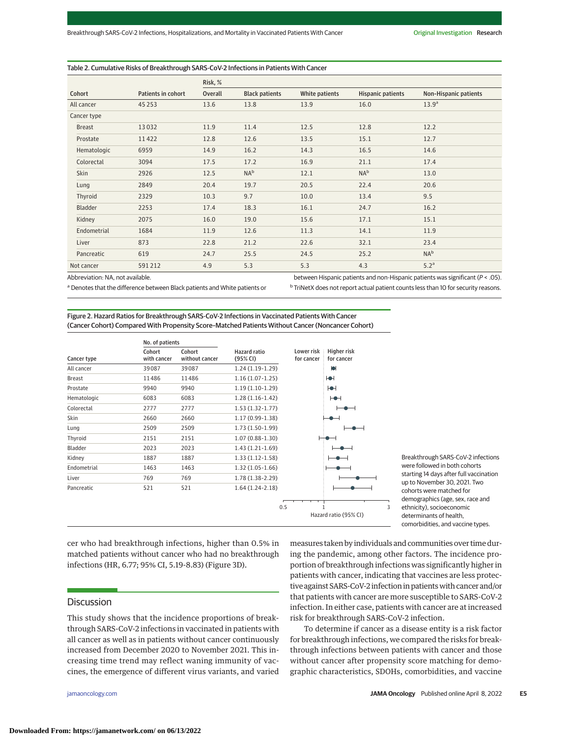#### Table 2. Cumulative Risks of Breakthrough SARS-CoV-2 Infections in Patients With Cancer

|               |                    | Risk, % |                       |                |                          |                              |  |
|---------------|--------------------|---------|-----------------------|----------------|--------------------------|------------------------------|--|
| Cohort        | Patients in cohort | Overall | <b>Black patients</b> | White patients | <b>Hispanic patients</b> | <b>Non-Hispanic patients</b> |  |
| All cancer    | 45 2 5 3           | 13.6    | 13.8                  | 13.9           | 16.0                     | 13.9 <sup>a</sup>            |  |
| Cancer type   |                    |         |                       |                |                          |                              |  |
| <b>Breast</b> | 13032              | 11.9    | 11.4                  | 12.5           | 12.8                     | 12.2                         |  |
| Prostate      | 11422              | 12.8    | 12.6                  | 13.5           | 15.1                     | 12.7                         |  |
| Hematologic   | 6959               | 14.9    | 16.2                  | 14.3           | 16.5                     | 14.6                         |  |
| Colorectal    | 3094               | 17.5    | 17.2                  | 16.9           | 21.1                     | 17.4                         |  |
| Skin          | 2926               | 12.5    | NA <sup>b</sup>       | 12.1           | NA <sup>b</sup>          | 13.0                         |  |
| Lung          | 2849               | 20.4    | 19.7                  | 20.5           | 22.4                     | 20.6                         |  |
| Thyroid       | 2329               | 10.3    | 9.7                   | 10.0           | 13.4                     | 9.5                          |  |
| Bladder       | 2253               | 17.4    | 18.3                  | 16.1           | 24.7                     | 16.2                         |  |
| Kidney        | 2075               | 16.0    | 19.0                  | 15.6           | 17.1                     | 15.1                         |  |
| Endometrial   | 1684               | 11.9    | 12.6                  | 11.3           | 14.1                     | 11.9                         |  |
| Liver         | 873                | 22.8    | 21.2                  | 22.6           | 32.1                     | 23.4                         |  |
| Pancreatic    | 619                | 24.7    | 25.5                  | 24.5           | 25.2                     | NA <sup>b</sup>              |  |
| Not cancer    | 591212             | 4.9     | 5.3                   | 5.3            | 4.3                      | 5.2 <sup>a</sup>             |  |

Abbreviation: NA, not available.

a Denotes that the difference between Black patients and White patients or

between Hispanic patients and non-Hispanic patients was significant (P < .05). b TriNetX does not report actual patient counts less than 10 for security reasons.

Figure 2. Hazard Ratios for Breakthrough SARS-CoV-2 Infections in Vaccinated Patients With Cancer (Cancer Cohort) Compared With Propensity Score–Matched Patients Without Cancer (Noncancer Cohort)

|             |                       | No. of patients          |                                 |                          |                           |   |                                         |
|-------------|-----------------------|--------------------------|---------------------------------|--------------------------|---------------------------|---|-----------------------------------------|
| Cancer type | Cohort<br>with cancer | Cohort<br>without cancer | <b>Hazard ratio</b><br>(95% CI) | Lower risk<br>for cancer | Higher risk<br>for cancer |   |                                         |
| All cancer  | 39087                 | 39087                    | $1.24(1.19-1.29)$               |                          | Ю                         |   |                                         |
| Breast      | 11486                 | 11486                    | $1.16(1.07-1.25)$               |                          | Ю                         |   |                                         |
| Prostate    | 9940                  | 9940                     | $1.19(1.10-1.29)$               |                          | H                         |   |                                         |
| Hematologic | 6083                  | 6083                     | $1.28(1.16-1.42)$               |                          | ┡●┥                       |   |                                         |
| Colorectal  | 2777                  | 2777                     | $1.53(1.32-1.77)$               |                          |                           |   |                                         |
| Skin        | 2660                  | 2660                     | $1.17(0.99-1.38)$               |                          |                           |   |                                         |
| Lung        | 2509                  | 2509                     | $1.73(1.50-1.99)$               |                          |                           |   |                                         |
| Thyroid     | 2151                  | 2151                     | $1.07(0.88-1.30)$               |                          |                           |   |                                         |
| Bladder     | 2023                  | 2023                     | $1.43(1.21-1.69)$               |                          |                           |   |                                         |
| Kidney      | 1887                  | 1887                     | $1.33(1.12-1.58)$               |                          |                           |   | Breakthroug                             |
| Endometrial | 1463                  | 1463                     | $1.32(1.05-1.66)$               |                          |                           |   | were follow                             |
| Liver       | 769                   | 769                      | $1.78(1.38-2.29)$               |                          |                           |   | starting 14 o                           |
| Pancreatic  | 521                   | 521                      | $1.64(1.24-2.18)$               |                          |                           |   | up to Nover<br>cohorts wer<br>demograph |
|             |                       |                          |                                 | 0.5                      |                           | 3 | ethnicity), s                           |
|             |                       |                          |                                 |                          | Hazard ratio (95% CI)     |   | determinan                              |

gh SARS-CoV-2 infections ed in both cohorts days after full vaccination mber 30, 2021. Two re matched for ics (age, sex, race and socioeconomic ts of health, comorbidities, and vaccine types.

cer who had breakthrough infections, higher than 0.5% in matched patients without cancer who had no breakthrough infections (HR, 6.77; 95% CI, 5.19-8.83) (Figure 3D).

# **Discussion**

This study shows that the incidence proportions of breakthrough SARS-CoV-2 infections in vaccinated in patients with all cancer as well as in patients without cancer continuously increased from December 2020 to November 2021. This increasing time trend may reflect waning immunity of vaccines, the emergence of different virus variants, and varied

measures taken by individuals and communities over time during the pandemic, among other factors. The incidence proportion of breakthrough infections was significantly higher in patients with cancer, indicating that vaccines are less protective against SARS-CoV-2 infection in patientswith cancer and/or that patients with cancer are more susceptible to SARS-CoV-2 infection. In either case, patients with cancer are at increased risk for breakthrough SARS-CoV-2 infection.

To determine if cancer as a disease entity is a risk factor for breakthrough infections, we compared the risks for breakthrough infections between patients with cancer and those without cancer after propensity score matching for demographic characteristics, SDOHs, comorbidities, and vaccine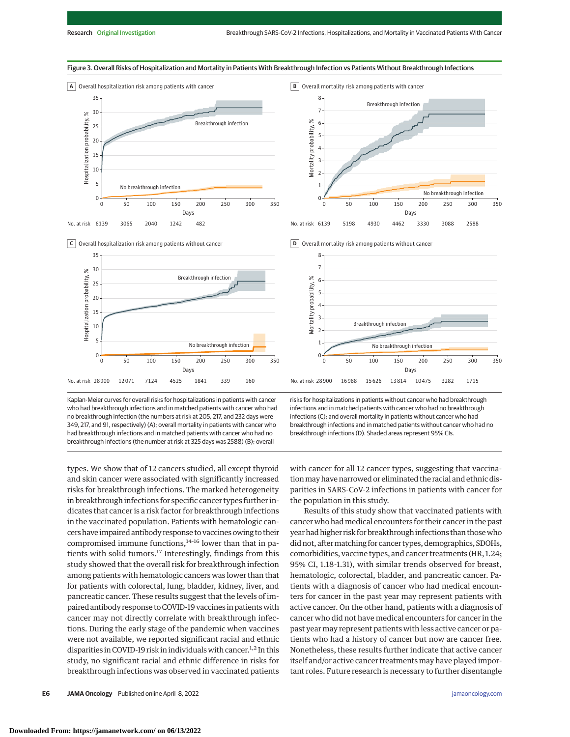













Kaplan-Meier curves for overall risks for hospitalizations in patients with cancer who had breakthrough infections and in matched patients with cancer who had no breakthrough infection (the numbers at risk at 205, 217, and 232 days were 349, 217, and 91, respectively) (A); overall mortality in patients with cancer who had breakthrough infections and in matched patients with cancer who had no breakthrough infections (the number at risk at 325 days was 2588) (B); overall

types. We show that of 12 cancers studied, all except thyroid and skin cancer were associated with significantly increased risks for breakthrough infections. The marked heterogeneity in breakthrough infections for specific cancer types further indicates that cancer is a risk factor for breakthrough infections in the vaccinated population. Patients with hematologic cancers have impaired antibody response to vaccines owing to their compromised immune functions, $14-16$  lower than that in patients with solid tumors.<sup>17</sup> Interestingly, findings from this study showed that the overall risk for breakthrough infection among patients with hematologic cancers was lower than that for patients with colorectal, lung, bladder, kidney, liver, and pancreatic cancer. These results suggest that the levels of impaired antibody response to COVID-19 vaccines in patients with cancer may not directly correlate with breakthrough infections. During the early stage of the pandemic when vaccines were not available, we reported significant racial and ethnic disparities in COVID-19 risk in individuals with cancer.<sup>1,2</sup> In this study, no significant racial and ethnic difference in risks for breakthrough infections was observed in vaccinated patients

risks for hospitalizations in patients without cancer who had breakthrough infections and in matched patients with cancer who had no breakthrough infections (C); and overall mortality in patients without cancer who had breakthrough infections and in matched patients without cancer who had no breakthrough infections (D). Shaded areas represent 95% CIs.

with cancer for all 12 cancer types, suggesting that vaccinationmay have narrowed or eliminated the racial and ethnic disparities in SARS-CoV-2 infections in patients with cancer for the population in this study.

Results of this study show that vaccinated patients with cancer who had medical encounters for their cancer in the past year had higher risk for breakthrough infections than thosewho did not, after matching for cancer types, demographics, SDOHs, comorbidities, vaccine types, and cancer treatments (HR, 1.24; 95% CI, 1.18-1.31), with similar trends observed for breast, hematologic, colorectal, bladder, and pancreatic cancer. Patients with a diagnosis of cancer who had medical encounters for cancer in the past year may represent patients with active cancer. On the other hand, patients with a diagnosis of cancer who did not have medical encounters for cancer in the past year may represent patients with less active cancer or patients who had a history of cancer but now are cancer free. Nonetheless, these results further indicate that active cancer itself and/or active cancer treatments may have played important roles. Future research is necessary to further disentangle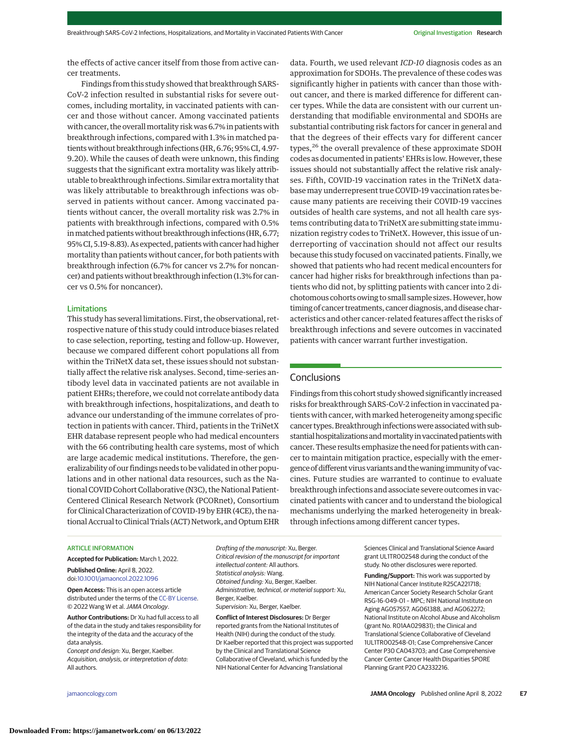the effects of active cancer itself from those from active cancer treatments.

Findings from this study showed that breakthrough SARS-CoV-2 infection resulted in substantial risks for severe outcomes, including mortality, in vaccinated patients with cancer and those without cancer. Among vaccinated patients with cancer, the overall mortality risk was 6.7% in patients with breakthrough infections, compared with 1.3% in matched patients without breakthrough infections (HR, 6.76; 95% CI, 4.97- 9.20). While the causes of death were unknown, this finding suggests that the significant extra mortality was likely attributable to breakthrough infections. Similar extra mortality that was likely attributable to breakthrough infections was observed in patients without cancer. Among vaccinated patients without cancer, the overall mortality risk was 2.7% in patients with breakthrough infections, compared with 0.5% in matched patients without breakthrough infections (HR, 6.77; 95% CI, 5.19-8.83). As expected, patientswith cancer had higher mortality than patients without cancer, for both patients with breakthrough infection (6.7% for cancer vs 2.7% for noncancer) and patients without breakthrough infection (1.3% for cancer vs 0.5% for noncancer).

#### Limitations

This study has several limitations. First, the observational, retrospective nature of this study could introduce biases related to case selection, reporting, testing and follow-up. However, because we compared different cohort populations all from within the TriNetX data set, these issues should not substantially affect the relative risk analyses. Second, time-series antibody level data in vaccinated patients are not available in patient EHRs; therefore, we could not correlate antibody data with breakthrough infections, hospitalizations, and death to advance our understanding of the immune correlates of protection in patients with cancer. Third, patients in the TriNetX EHR database represent people who had medical encounters with the 66 contributing health care systems, most of which are large academic medical institutions. Therefore, the generalizability of our findings needs to be validated in other populations and in other national data resources, such as the National COVID Cohort Collaborative (N3C), the National Patient-Centered Clinical Research Network (PCORnet), Consortium for Clinical Characterization of COVID-19 by EHR (4CE), the national Accrual to Clinical Trials (ACT) Network, and Optum EHR

data. Fourth, we used relevant *ICD-10* diagnosis codes as an approximation for SDOHs. The prevalence of these codes was significantly higher in patients with cancer than those without cancer, and there is marked difference for different cancer types. While the data are consistent with our current understanding that modifiable environmental and SDOHs are substantial contributing risk factors for cancer in general and that the degrees of their effects vary for different cancer types,<sup>26</sup> the overall prevalence of these approximate SDOH codes as documented in patients' EHRs is low. However, these issues should not substantially affect the relative risk analyses. Fifth, COVID-19 vaccination rates in the TriNetX database may underrepresent true COVID-19 vaccination rates because many patients are receiving their COVID-19 vaccines outsides of health care systems, and not all health care systems contributing data to TriNetX are submitting state immunization registry codes to TriNetX. However, this issue of underreporting of vaccination should not affect our results because this study focused on vaccinated patients. Finally, we showed that patients who had recent medical encounters for cancer had higher risks for breakthrough infections than patients who did not, by splitting patients with cancer into 2 dichotomous cohorts owing to small sample sizes.However, how timing of cancer treatments, cancer diagnosis, and disease characteristics and other cancer-related features affect the risks of breakthrough infections and severe outcomes in vaccinated patients with cancer warrant further investigation.

# **Conclusions**

Findings from this cohort study showed significantly increased risks for breakthrough SARS-CoV-2 infection in vaccinated patients with cancer, with marked heterogeneity among specific cancer types. Breakthrough infections were associated with substantial hospitalizations and mortality in vaccinated patients with cancer. These results emphasize the need for patients with cancer to maintain mitigation practice, especially with the emergence of different virus variants and the waning immunity of vaccines. Future studies are warranted to continue to evaluate breakthrough infections and associate severe outcomes in vaccinated patients with cancer and to understand the biological mechanisms underlying the marked heterogeneity in breakthrough infections among different cancer types.

#### ARTICLE INFORMATION

**Accepted for Publication:** March 1, 2022. **Published Online:** April 8, 2022. doi[:10.1001/jamaoncol.2022.1096](https://jamanetwork.com/journals/jama/fullarticle/10.1001/jamaoncol.2022.1096?utm_campaign=articlePDF%26utm_medium=articlePDFlink%26utm_source=articlePDF%26utm_content=jamaoncol.2022.1096)

**Open Access:** This is an open access article distributed under the terms of the [CC-BY License.](https://jamanetwork.com/pages/cc-by-license-permissions?utm_campaign=articlePDF%26utm_medium=articlePDFlink%26utm_source=articlePDF%26utm_content=jamaoncol.2022.1096) © 2022 Wang W et al.JAMA Oncology.

**Author Contributions:** Dr Xu had full access to all of the data in the study and takes responsibility for the integrity of the data and the accuracy of the data analysis.

Concept and design: Xu, Berger, Kaelber. Acquisition, analysis, or interpretation of data: All authors.

Drafting of the manuscript: Xu, Berger. Critical revision of the manuscript for important intellectual content: All authors. Statistical analysis: Wang. Obtained funding: Xu, Berger, Kaelber. Administrative, technical, or material support: Xu, Berger, Kaelber. Supervision: Xu, Berger, Kaelber.

**Conflict of Interest Disclosures:** Dr Berger reported grants from the National Institutes of Health (NIH) during the conduct of the study. Dr Kaelber reported that this project was supported by the Clinical and Translational Science Collaborative of Cleveland, which is funded by the NIH National Center for Advancing Translational

Sciences Clinical and Translational Science Award grant UL1TR002548 during the conduct of the study. No other disclosures were reported.

**Funding/Support:** This work was supported by NIH National Cancer Institute R25CA221718; American Cancer Society Research Scholar Grant RSG-16-049-01 – MPC; NIH National Institute on Aging AG057557, AG061388, and AG062272; National Institute on Alcohol Abuse and Alcoholism (grant No. R01AA029831); the Clinical and Translational Science Collaborative of Cleveland 1UL1TR002548-01; Case Comprehensive Cancer Center P30 CA043703; and Case Comprehensive Cancer Center Cancer Health Disparities SPORE Planning Grant P20 CA2332216.